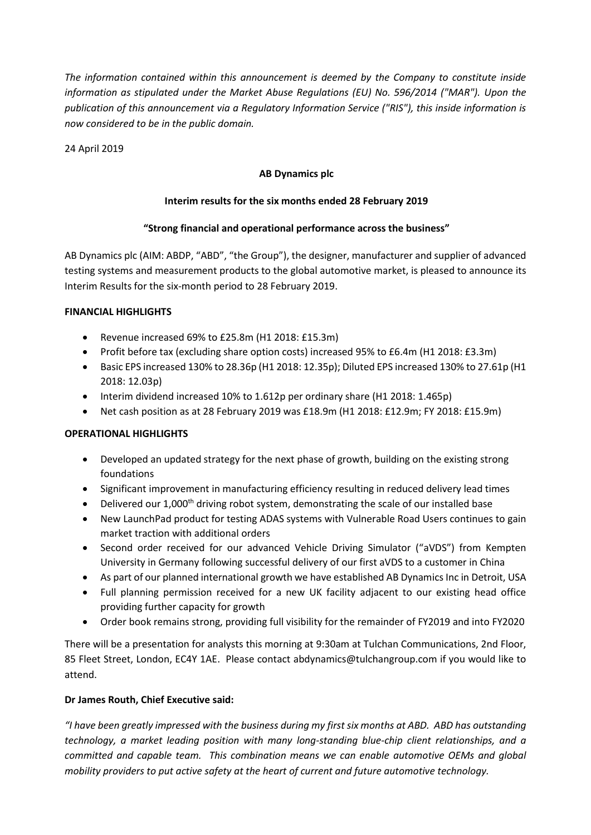*The information contained within this announcement is deemed by the Company to constitute inside information as stipulated under the Market Abuse Regulations (EU) No. 596/2014 ("MAR"). Upon the publication of this announcement via a Regulatory Information Service ("RIS"), this inside information is now considered to be in the public domain.*

24 April 2019

### **AB Dynamics plc**

### **Interim results for the six months ended 28 February 2019**

### **"Strong financial and operational performance across the business"**

AB Dynamics plc (AIM: ABDP, "ABD", "the Group"), the designer, manufacturer and supplier of advanced testing systems and measurement products to the global automotive market, is pleased to announce its Interim Results for the six-month period to 28 February 2019.

#### **FINANCIAL HIGHLIGHTS**

- Revenue increased 69% to £25.8m (H1 2018: £15.3m)
- Profit before tax (excluding share option costs) increased 95% to £6.4m (H1 2018: £3.3m)
- Basic EPS increased 130% to 28.36p (H1 2018: 12.35p); Diluted EPS increased 130% to 27.61p (H1 2018: 12.03p)
- Interim dividend increased 10% to 1.612p per ordinary share (H1 2018: 1.465p)
- Net cash position as at 28 February 2019 was £18.9m (H1 2018: £12.9m; FY 2018: £15.9m)

#### **OPERATIONAL HIGHLIGHTS**

- Developed an updated strategy for the next phase of growth, building on the existing strong foundations
- Significant improvement in manufacturing efficiency resulting in reduced delivery lead times
- $\bullet$  Delivered our 1,000<sup>th</sup> driving robot system, demonstrating the scale of our installed base
- New LaunchPad product for testing ADAS systems with Vulnerable Road Users continues to gain market traction with additional orders
- Second order received for our advanced Vehicle Driving Simulator ("aVDS") from Kempten University in Germany following successful delivery of our first aVDS to a customer in China
- As part of our planned international growth we have established AB Dynamics Inc in Detroit, USA
- Full planning permission received for a new UK facility adjacent to our existing head office providing further capacity for growth
- Order book remains strong, providing full visibility for the remainder of FY2019 and into FY2020

There will be a presentation for analysts this morning at 9:30am at Tulchan Communications, 2nd Floor, 85 Fleet Street, London, EC4Y 1AE. Please contact abdynamics@tulchangroup.com if you would like to attend.

#### **Dr James Routh, Chief Executive said:**

*"I have been greatly impressed with the business during my first six months at ABD. ABD has outstanding technology, a market leading position with many long-standing blue-chip client relationships, and a committed and capable team. This combination means we can enable automotive OEMs and global mobility providers to put active safety at the heart of current and future automotive technology.*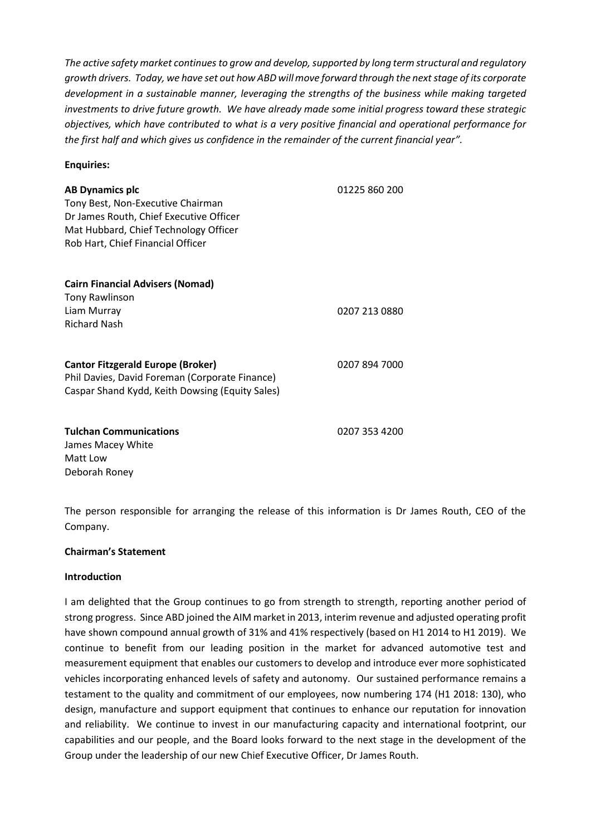*The active safety market continues to grow and develop, supported by long term structural and regulatory growth drivers. Today, we have set out how ABD will move forward through the next stage of its corporate development in a sustainable manner, leveraging the strengths of the business while making targeted investments to drive future growth. We have already made some initial progress toward these strategic objectives, which have contributed to what is a very positive financial and operational performance for the first half and which gives us confidence in the remainder of the current financial year".*

#### **Enquiries:**

| <b>AB Dynamics plc</b><br>Tony Best, Non-Executive Chairman<br>Dr James Routh, Chief Executive Officer<br>Mat Hubbard, Chief Technology Officer<br>Rob Hart, Chief Financial Officer | 01225 860 200 |
|--------------------------------------------------------------------------------------------------------------------------------------------------------------------------------------|---------------|
| <b>Cairn Financial Advisers (Nomad)</b><br><b>Tony Rawlinson</b><br>Liam Murray<br><b>Richard Nash</b>                                                                               | 0207 213 0880 |
| <b>Cantor Fitzgerald Europe (Broker)</b><br>Phil Davies, David Foreman (Corporate Finance)<br>Caspar Shand Kydd, Keith Dowsing (Equity Sales)                                        | 0207 894 7000 |
| <b>Tulchan Communications</b><br>James Macey White<br>Matt Low                                                                                                                       | 0207 353 4200 |

The person responsible for arranging the release of this information is Dr James Routh, CEO of the Company.

#### **Chairman's Statement**

#### **Introduction**

Deborah Roney

I am delighted that the Group continues to go from strength to strength, reporting another period of strong progress. Since ABD joined the AIM market in 2013, interim revenue and adjusted operating profit have shown compound annual growth of 31% and 41% respectively (based on H1 2014 to H1 2019). We continue to benefit from our leading position in the market for advanced automotive test and measurement equipment that enables our customers to develop and introduce ever more sophisticated vehicles incorporating enhanced levels of safety and autonomy. Our sustained performance remains a testament to the quality and commitment of our employees, now numbering 174 (H1 2018: 130), who design, manufacture and support equipment that continues to enhance our reputation for innovation and reliability. We continue to invest in our manufacturing capacity and international footprint, our capabilities and our people, and the Board looks forward to the next stage in the development of the Group under the leadership of our new Chief Executive Officer, Dr James Routh.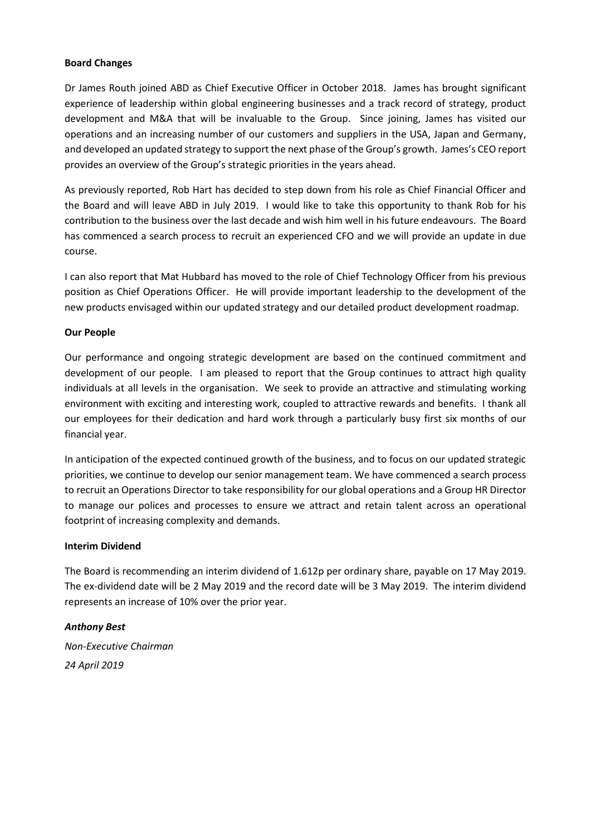#### **Board Changes**

Dr James Routh joined ABD as Chief Executive Officer in October 2018. James has brought significant experience of leadership within global engineering businesses and a track record of strategy, product development and M&A that will be invaluable to the Group. Since joining, James has visited our operations and an increasing number of our customers and suppliers in the USA, Japan and Germany, and developed an updated strategy to support the next phase of the Group's growth. James's CEO report provides an overview of the Group's strategic priorities in the years ahead.

As previously reported, Rob Hart has decided to step down from his role as Chief Financial Officer and the Board and will leave ABD in July 2019. I would like to take this opportunity to thank Rob for his contribution to the business over the last decade and wish him well in his future endeavours. The Board has commenced a search process to recruit an experienced CFO and we will provide an update in due course.

I can also report that Mat Hubbard has moved to the role of Chief Technology Officer from his previous position as Chief Operations Officer. He will provide important leadership to the development of the new products envisaged within our updated strategy and our detailed product development roadmap.

#### **Our People**

Our performance and ongoing strategic development are based on the continued commitment and development of our people. I am pleased to report that the Group continues to attract high quality individuals at all levels in the organisation. We seek to provide an attractive and stimulating working environment with exciting and interesting work, coupled to attractive rewards and benefits. I thank all our employees for their dedication and hard work through a particularly busy first six months of our financial year.

In anticipation of the expected continued growth of the business, and to focus on our updated strategic priorities, we continue to develop our senior management team. We have commenced a search process to recruit an Operations Director to take responsibility for our global operations and a Group HR Director to manage our polices and processes to ensure we attract and retain talent across an operational footprint of increasing complexity and demands.

#### **Interim Dividend**

The Board is recommending an interim dividend of 1.612p per ordinary share, payable on 17 May 2019. The ex-dividend date will be 2 May 2019 and the record date will be 3 May 2019. The interim dividend represents an increase of 10% over the prior year.

#### *Anthony Best*

*Non-Executive Chairman 24 April 2019*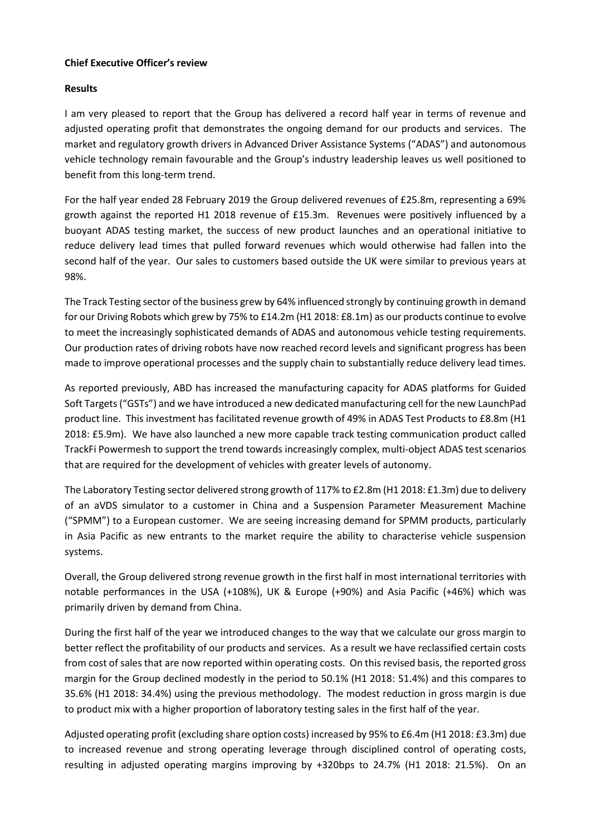#### **Chief Executive Officer's review**

#### **Results**

I am very pleased to report that the Group has delivered a record half year in terms of revenue and adjusted operating profit that demonstrates the ongoing demand for our products and services. The market and regulatory growth drivers in Advanced Driver Assistance Systems ("ADAS") and autonomous vehicle technology remain favourable and the Group's industry leadership leaves us well positioned to benefit from this long-term trend.

For the half year ended 28 February 2019 the Group delivered revenues of £25.8m, representing a 69% growth against the reported H1 2018 revenue of £15.3m. Revenues were positively influenced by a buoyant ADAS testing market, the success of new product launches and an operational initiative to reduce delivery lead times that pulled forward revenues which would otherwise had fallen into the second half of the year. Our sales to customers based outside the UK were similar to previous years at 98%.

The Track Testing sector of the business grew by 64% influenced strongly by continuing growth in demand for our Driving Robots which grew by 75% to £14.2m (H1 2018: £8.1m) as our products continue to evolve to meet the increasingly sophisticated demands of ADAS and autonomous vehicle testing requirements. Our production rates of driving robots have now reached record levels and significant progress has been made to improve operational processes and the supply chain to substantially reduce delivery lead times.

As reported previously, ABD has increased the manufacturing capacity for ADAS platforms for Guided Soft Targets ("GSTs") and we have introduced a new dedicated manufacturing cell for the new LaunchPad product line. This investment has facilitated revenue growth of 49% in ADAS Test Products to £8.8m (H1 2018: £5.9m). We have also launched a new more capable track testing communication product called TrackFi Powermesh to support the trend towards increasingly complex, multi-object ADAS test scenarios that are required for the development of vehicles with greater levels of autonomy.

The Laboratory Testing sector delivered strong growth of 117% to £2.8m (H1 2018: £1.3m) due to delivery of an aVDS simulator to a customer in China and a Suspension Parameter Measurement Machine ("SPMM") to a European customer. We are seeing increasing demand for SPMM products, particularly in Asia Pacific as new entrants to the market require the ability to characterise vehicle suspension systems.

Overall, the Group delivered strong revenue growth in the first half in most international territories with notable performances in the USA (+108%), UK & Europe (+90%) and Asia Pacific (+46%) which was primarily driven by demand from China.

During the first half of the year we introduced changes to the way that we calculate our gross margin to better reflect the profitability of our products and services. As a result we have reclassified certain costs from cost of sales that are now reported within operating costs. On this revised basis, the reported gross margin for the Group declined modestly in the period to 50.1% (H1 2018: 51.4%) and this compares to 35.6% (H1 2018: 34.4%) using the previous methodology. The modest reduction in gross margin is due to product mix with a higher proportion of laboratory testing sales in the first half of the year.

Adjusted operating profit (excluding share option costs) increased by 95% to £6.4m (H1 2018: £3.3m) due to increased revenue and strong operating leverage through disciplined control of operating costs, resulting in adjusted operating margins improving by +320bps to 24.7% (H1 2018: 21.5%). On an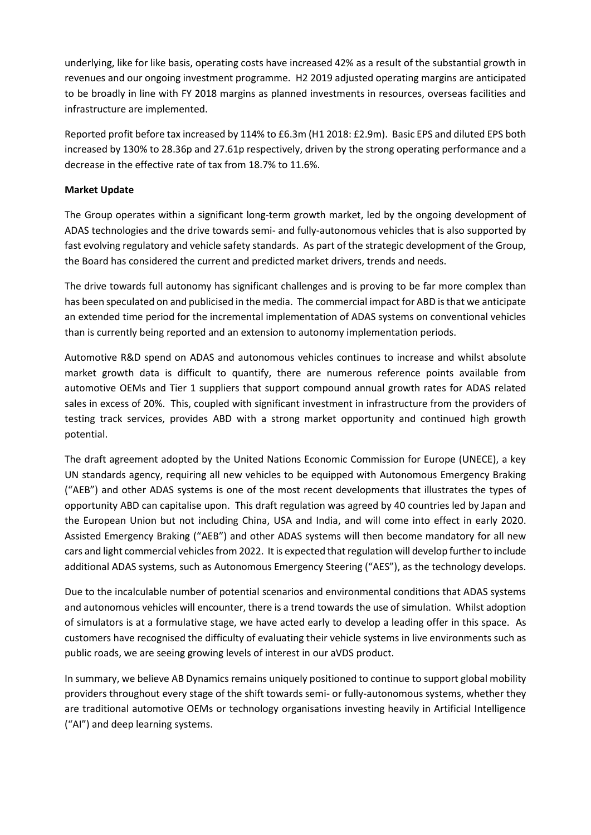underlying, like for like basis, operating costs have increased 42% as a result of the substantial growth in revenues and our ongoing investment programme. H2 2019 adjusted operating margins are anticipated to be broadly in line with FY 2018 margins as planned investments in resources, overseas facilities and infrastructure are implemented.

Reported profit before tax increased by 114% to £6.3m (H1 2018: £2.9m). Basic EPS and diluted EPS both increased by 130% to 28.36p and 27.61p respectively, driven by the strong operating performance and a decrease in the effective rate of tax from 18.7% to 11.6%.

#### **Market Update**

The Group operates within a significant long-term growth market, led by the ongoing development of ADAS technologies and the drive towards semi- and fully-autonomous vehicles that is also supported by fast evolving regulatory and vehicle safety standards. As part of the strategic development of the Group, the Board has considered the current and predicted market drivers, trends and needs.

The drive towards full autonomy has significant challenges and is proving to be far more complex than has been speculated on and publicised in the media. The commercial impact for ABD is that we anticipate an extended time period for the incremental implementation of ADAS systems on conventional vehicles than is currently being reported and an extension to autonomy implementation periods.

Automotive R&D spend on ADAS and autonomous vehicles continues to increase and whilst absolute market growth data is difficult to quantify, there are numerous reference points available from automotive OEMs and Tier 1 suppliers that support compound annual growth rates for ADAS related sales in excess of 20%. This, coupled with significant investment in infrastructure from the providers of testing track services, provides ABD with a strong market opportunity and continued high growth potential.

The draft agreement adopted by the United Nations Economic Commission for Europe (UNECE), a key UN standards agency, requiring all new vehicles to be equipped with Autonomous Emergency Braking ("AEB") and other ADAS systems is one of the most recent developments that illustrates the types of opportunity ABD can capitalise upon. This draft regulation was agreed by 40 countries led by Japan and the European Union but not including China, USA and India, and will come into effect in early 2020. Assisted Emergency Braking ("AEB") and other ADAS systems will then become mandatory for all new cars and light commercial vehicles from 2022. It is expected that regulation will develop further to include additional ADAS systems, such as Autonomous Emergency Steering ("AES"), as the technology develops.

Due to the incalculable number of potential scenarios and environmental conditions that ADAS systems and autonomous vehicles will encounter, there is a trend towards the use of simulation. Whilst adoption of simulators is at a formulative stage, we have acted early to develop a leading offer in this space. As customers have recognised the difficulty of evaluating their vehicle systems in live environments such as public roads, we are seeing growing levels of interest in our aVDS product.

In summary, we believe AB Dynamics remains uniquely positioned to continue to support global mobility providers throughout every stage of the shift towards semi- or fully-autonomous systems, whether they are traditional automotive OEMs or technology organisations investing heavily in Artificial Intelligence ("AI") and deep learning systems.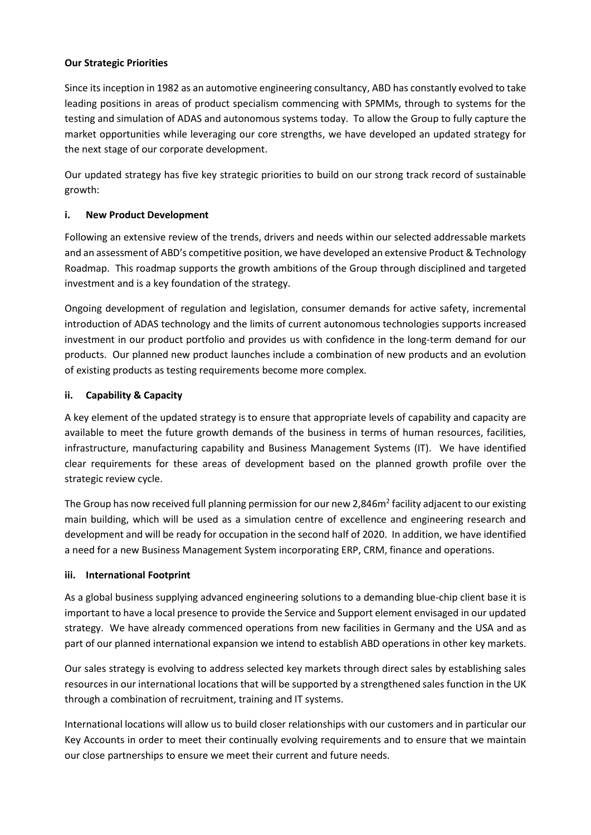#### **Our Strategic Priorities**

Since its inception in 1982 as an automotive engineering consultancy, ABD has constantly evolved to take leading positions in areas of product specialism commencing with SPMMs, through to systems for the testing and simulation of ADAS and autonomous systems today. To allow the Group to fully capture the market opportunities while leveraging our core strengths, we have developed an updated strategy for the next stage of our corporate development.

Our updated strategy has five key strategic priorities to build on our strong track record of sustainable growth:

#### **i. New Product Development**

Following an extensive review of the trends, drivers and needs within our selected addressable markets and an assessment of ABD's competitive position, we have developed an extensive Product & Technology Roadmap. This roadmap supports the growth ambitions of the Group through disciplined and targeted investment and is a key foundation of the strategy.

Ongoing development of regulation and legislation, consumer demands for active safety, incremental introduction of ADAS technology and the limits of current autonomous technologies supports increased investment in our product portfolio and provides us with confidence in the long-term demand for our products. Our planned new product launches include a combination of new products and an evolution of existing products as testing requirements become more complex.

#### **ii. Capability & Capacity**

A key element of the updated strategy is to ensure that appropriate levels of capability and capacity are available to meet the future growth demands of the business in terms of human resources, facilities, infrastructure, manufacturing capability and Business Management Systems (IT). We have identified clear requirements for these areas of development based on the planned growth profile over the strategic review cycle.

The Group has now received full planning permission for our new 2,846m<sup>2</sup> facility adjacent to our existing main building, which will be used as a simulation centre of excellence and engineering research and development and will be ready for occupation in the second half of 2020. In addition, we have identified a need for a new Business Management System incorporating ERP, CRM, finance and operations.

#### **iii. International Footprint**

As a global business supplying advanced engineering solutions to a demanding blue-chip client base it is important to have a local presence to provide the Service and Support element envisaged in our updated strategy. We have already commenced operations from new facilities in Germany and the USA and as part of our planned international expansion we intend to establish ABD operations in other key markets.

Our sales strategy is evolving to address selected key markets through direct sales by establishing sales resources in our international locations that will be supported by a strengthened sales function in the UK through a combination of recruitment, training and IT systems.

International locations will allow us to build closer relationships with our customers and in particular our Key Accounts in order to meet their continually evolving requirements and to ensure that we maintain our close partnerships to ensure we meet their current and future needs.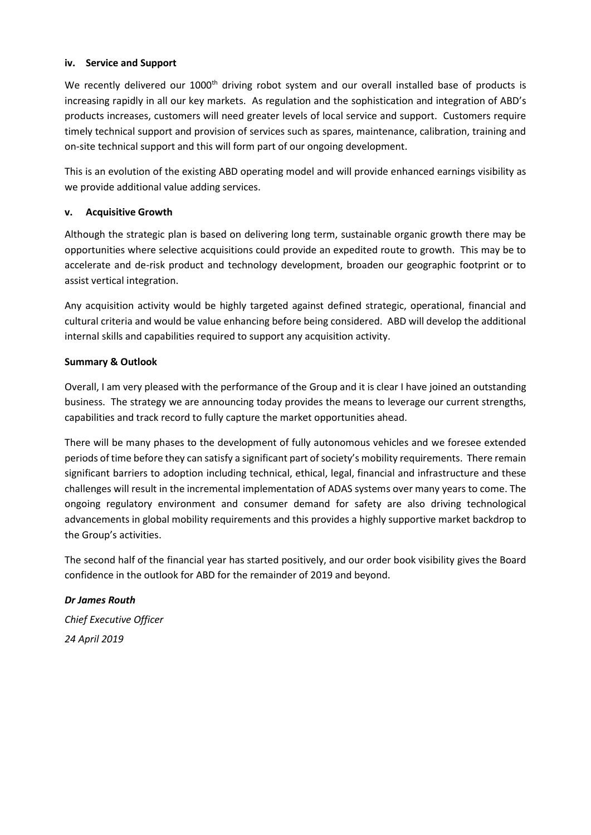#### **iv. Service and Support**

We recently delivered our 1000<sup>th</sup> driving robot system and our overall installed base of products is increasing rapidly in all our key markets. As regulation and the sophistication and integration of ABD's products increases, customers will need greater levels of local service and support. Customers require timely technical support and provision of services such as spares, maintenance, calibration, training and on-site technical support and this will form part of our ongoing development.

This is an evolution of the existing ABD operating model and will provide enhanced earnings visibility as we provide additional value adding services.

#### **v. Acquisitive Growth**

Although the strategic plan is based on delivering long term, sustainable organic growth there may be opportunities where selective acquisitions could provide an expedited route to growth. This may be to accelerate and de-risk product and technology development, broaden our geographic footprint or to assist vertical integration.

Any acquisition activity would be highly targeted against defined strategic, operational, financial and cultural criteria and would be value enhancing before being considered. ABD will develop the additional internal skills and capabilities required to support any acquisition activity.

#### **Summary & Outlook**

Overall, I am very pleased with the performance of the Group and it is clear I have joined an outstanding business. The strategy we are announcing today provides the means to leverage our current strengths, capabilities and track record to fully capture the market opportunities ahead.

There will be many phases to the development of fully autonomous vehicles and we foresee extended periods of time before they can satisfy a significant part of society's mobility requirements. There remain significant barriers to adoption including technical, ethical, legal, financial and infrastructure and these challenges will result in the incremental implementation of ADAS systems over many years to come. The ongoing regulatory environment and consumer demand for safety are also driving technological advancements in global mobility requirements and this provides a highly supportive market backdrop to the Group's activities.

The second half of the financial year has started positively, and our order book visibility gives the Board confidence in the outlook for ABD for the remainder of 2019 and beyond.

*Dr James Routh Chief Executive Officer 24 April 2019*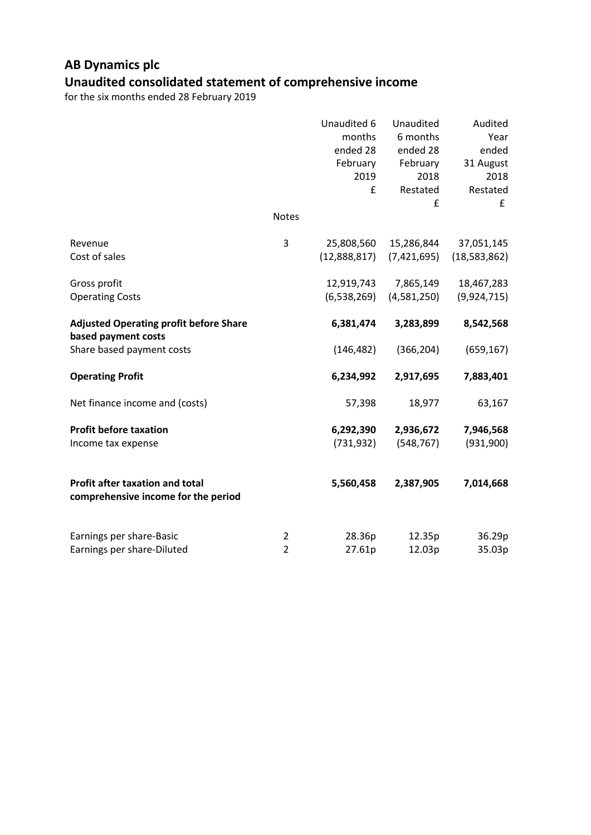### **AB Dynamics plc Unaudited consolidated statement of comprehensive income**

|                                                                      |                | Unaudited 6<br>months | Unaudited<br>6 months | Audited<br>Year  |
|----------------------------------------------------------------------|----------------|-----------------------|-----------------------|------------------|
|                                                                      |                | ended 28              | ended 28              | ended            |
|                                                                      |                | February              | February              | 31 August        |
|                                                                      |                | 2019<br>£             | 2018<br>Restated      | 2018<br>Restated |
|                                                                      |                |                       | £                     | £                |
|                                                                      | <b>Notes</b>   |                       |                       |                  |
| Revenue                                                              | 3              | 25,808,560            | 15,286,844            | 37,051,145       |
| Cost of sales                                                        |                | (12,888,817)          | (7,421,695)           | (18,583,862)     |
| Gross profit                                                         |                | 12,919,743            | 7,865,149             | 18,467,283       |
| <b>Operating Costs</b>                                               |                | (6, 538, 269)         | (4,581,250)           | (9,924,715)      |
| <b>Adjusted Operating profit before Share</b><br>based payment costs |                | 6,381,474             | 3,283,899             | 8,542,568        |
| Share based payment costs                                            |                | (146, 482)            | (366, 204)            | (659, 167)       |
| <b>Operating Profit</b>                                              |                | 6,234,992             | 2,917,695             | 7,883,401        |
| Net finance income and (costs)                                       |                | 57,398                | 18,977                | 63,167           |
| <b>Profit before taxation</b>                                        |                | 6,292,390             | 2,936,672             | 7,946,568        |
| Income tax expense                                                   |                | (731, 932)            | (548, 767)            | (931,900)        |
| Profit after taxation and total                                      |                | 5,560,458             | 2,387,905             | 7,014,668        |
| comprehensive income for the period                                  |                |                       |                       |                  |
| Earnings per share-Basic                                             | $\overline{2}$ | 28.36p                | 12.35p                | 36.29p           |
| Earnings per share-Diluted                                           | $\overline{2}$ | 27.61p                | 12.03p                | 35.03p           |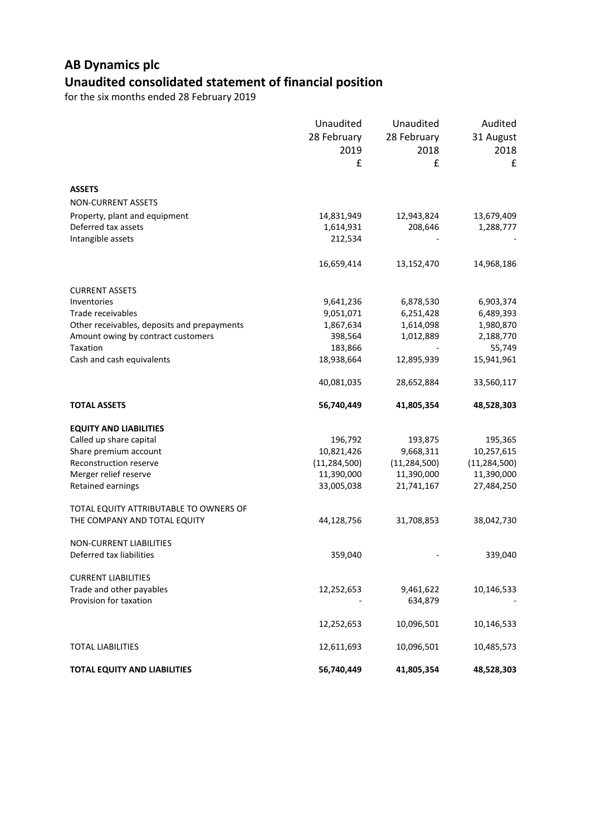## **AB Dynamics plc Unaudited consolidated statement of financial position**

|                                             | Unaudited<br>28 February<br>2019<br>£ | Unaudited<br>28 February<br>2018<br>£ | Audited<br>31 August<br>2018<br>£ |
|---------------------------------------------|---------------------------------------|---------------------------------------|-----------------------------------|
|                                             |                                       |                                       |                                   |
| <b>ASSETS</b>                               |                                       |                                       |                                   |
| <b>NON-CURRENT ASSETS</b>                   |                                       |                                       |                                   |
| Property, plant and equipment               | 14,831,949                            | 12,943,824                            | 13,679,409                        |
| Deferred tax assets                         | 1,614,931                             | 208,646                               | 1,288,777                         |
| Intangible assets                           | 212,534                               |                                       |                                   |
|                                             | 16,659,414                            | 13,152,470                            | 14,968,186                        |
| <b>CURRENT ASSETS</b>                       |                                       |                                       |                                   |
| Inventories                                 | 9,641,236                             | 6,878,530                             | 6,903,374                         |
| Trade receivables                           | 9,051,071                             | 6,251,428                             | 6,489,393                         |
| Other receivables, deposits and prepayments | 1,867,634                             | 1,614,098                             | 1,980,870                         |
| Amount owing by contract customers          | 398,564                               | 1,012,889                             | 2,188,770                         |
| Taxation                                    | 183,866                               |                                       | 55,749                            |
| Cash and cash equivalents                   | 18,938,664                            | 12,895,939                            | 15,941,961                        |
|                                             | 40,081,035                            | 28,652,884                            | 33,560,117                        |
| <b>TOTAL ASSETS</b>                         | 56,740,449                            | 41,805,354                            | 48,528,303                        |
| <b>EQUITY AND LIABILITIES</b>               |                                       |                                       |                                   |
| Called up share capital                     | 196,792                               | 193,875                               | 195,365                           |
| Share premium account                       | 10,821,426                            | 9,668,311                             | 10,257,615                        |
| Reconstruction reserve                      | (11, 284, 500)                        | (11, 284, 500)                        | (11, 284, 500)                    |
| Merger relief reserve                       | 11,390,000                            | 11,390,000                            | 11,390,000                        |
| Retained earnings                           | 33,005,038                            | 21,741,167                            | 27,484,250                        |
| TOTAL EQUITY ATTRIBUTABLE TO OWNERS OF      |                                       |                                       |                                   |
| THE COMPANY AND TOTAL EQUITY                | 44,128,756                            | 31,708,853                            | 38,042,730                        |
| <b>NON-CURRENT LIABILITIES</b>              |                                       |                                       |                                   |
| Deferred tax liabilities                    | 359,040                               |                                       | 339,040                           |
| <b>CURRENT LIABILITIES</b>                  |                                       |                                       |                                   |
| Trade and other payables                    | 12,252,653                            | 9,461,622                             | 10,146,533                        |
| Provision for taxation                      |                                       | 634,879                               |                                   |
|                                             | 12,252,653                            | 10,096,501                            | 10,146,533                        |
| <b>TOTAL LIABILITIES</b>                    | 12,611,693                            | 10,096,501                            | 10,485,573                        |
| <b>TOTAL EQUITY AND LIABILITIES</b>         | 56,740,449                            | 41,805,354                            | 48,528,303                        |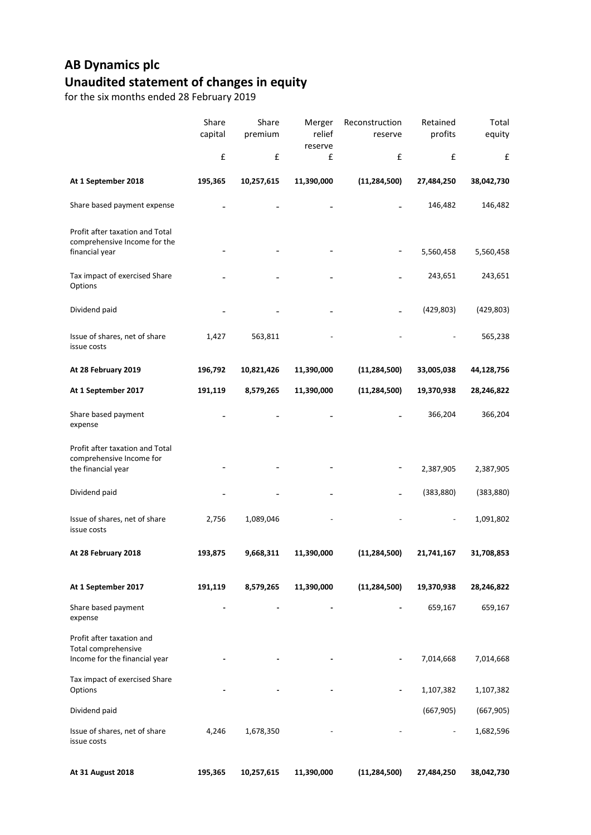## **AB Dynamics plc Unaudited statement of changes in equity**

|                                                                                   | Share<br>capital | Share<br>premium | Merger<br>relief<br>reserve | Reconstruction<br>reserve | Retained<br>profits | Total<br>equity |
|-----------------------------------------------------------------------------------|------------------|------------------|-----------------------------|---------------------------|---------------------|-----------------|
|                                                                                   | £                | £                | £                           | £                         | £                   | £               |
| At 1 September 2018                                                               | 195,365          | 10,257,615       | 11,390,000                  | (11, 284, 500)            | 27,484,250          | 38,042,730      |
| Share based payment expense                                                       |                  |                  |                             |                           | 146,482             | 146,482         |
| Profit after taxation and Total<br>comprehensive Income for the<br>financial year |                  |                  |                             |                           | 5,560,458           | 5,560,458       |
| Tax impact of exercised Share<br>Options                                          |                  |                  |                             |                           | 243,651             | 243,651         |
| Dividend paid                                                                     |                  |                  |                             |                           | (429, 803)          | (429, 803)      |
| Issue of shares, net of share<br>issue costs                                      | 1,427            | 563,811          |                             |                           |                     | 565,238         |
| At 28 February 2019                                                               | 196,792          | 10,821,426       | 11,390,000                  | (11, 284, 500)            | 33,005,038          | 44,128,756      |
| At 1 September 2017                                                               | 191,119          | 8,579,265        | 11,390,000                  | (11, 284, 500)            | 19,370,938          | 28,246,822      |
| Share based payment<br>expense                                                    |                  |                  |                             |                           | 366,204             | 366,204         |
| Profit after taxation and Total<br>comprehensive Income for<br>the financial year |                  |                  |                             |                           | 2,387,905           | 2,387,905       |
| Dividend paid                                                                     |                  |                  |                             |                           | (383, 880)          | (383, 880)      |
| Issue of shares, net of share<br>issue costs                                      | 2,756            | 1,089,046        |                             |                           |                     | 1,091,802       |
| At 28 February 2018                                                               | 193,875          | 9,668,311        | 11,390,000                  | (11, 284, 500)            | 21,741,167          | 31,708,853      |
| At 1 September 2017                                                               | 191,119          | 8,579,265        | 11,390,000                  | (11, 284, 500)            | 19,370,938          | 28,246,822      |
| Share based payment<br>expense                                                    |                  |                  |                             |                           | 659,167             | 659,167         |
| Profit after taxation and<br>Total comprehensive<br>Income for the financial year |                  |                  |                             | $\overline{\phantom{a}}$  | 7,014,668           | 7,014,668       |
| Tax impact of exercised Share<br>Options                                          |                  |                  |                             |                           | 1,107,382           | 1,107,382       |
| Dividend paid                                                                     |                  |                  |                             |                           | (667, 905)          | (667, 905)      |
| Issue of shares, net of share<br>issue costs                                      | 4,246            | 1,678,350        |                             |                           |                     | 1,682,596       |
| At 31 August 2018                                                                 | 195,365          | 10,257,615       | 11,390,000                  | (11, 284, 500)            | 27,484,250          | 38,042,730      |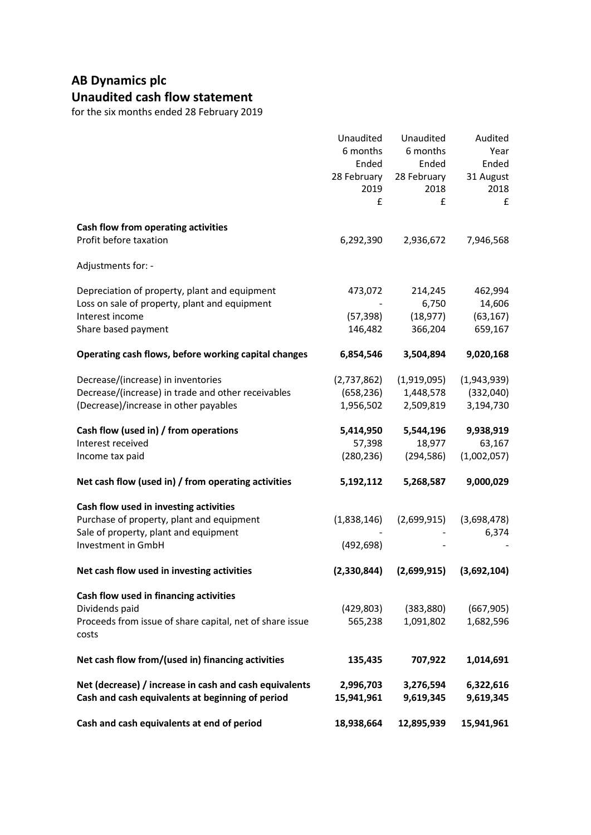### **AB Dynamics plc Unaudited cash flow statement**

|                                                          | Unaudited           | Unaudited   | Audited           |
|----------------------------------------------------------|---------------------|-------------|-------------------|
|                                                          | 6 months            | 6 months    | Year              |
|                                                          | Ended               | Ended       | Ended             |
|                                                          | 28 February<br>2019 | 28 February | 31 August<br>2018 |
|                                                          | £                   | 2018<br>£   |                   |
|                                                          |                     |             | £                 |
| Cash flow from operating activities                      |                     |             |                   |
| Profit before taxation                                   | 6,292,390           | 2,936,672   | 7,946,568         |
| Adjustments for: -                                       |                     |             |                   |
| Depreciation of property, plant and equipment            | 473,072             | 214,245     | 462,994           |
| Loss on sale of property, plant and equipment            |                     | 6,750       | 14,606            |
| Interest income                                          | (57, 398)           | (18, 977)   | (63, 167)         |
| Share based payment                                      | 146,482             | 366,204     | 659,167           |
| Operating cash flows, before working capital changes     | 6,854,546           | 3,504,894   | 9,020,168         |
| Decrease/(increase) in inventories                       | (2,737,862)         | (1,919,095) | (1,943,939)       |
| Decrease/(increase) in trade and other receivables       | (658, 236)          | 1,448,578   | (332,040)         |
| (Decrease)/increase in other payables                    | 1,956,502           | 2,509,819   | 3,194,730         |
| Cash flow (used in) / from operations                    | 5,414,950           | 5,544,196   | 9,938,919         |
| Interest received                                        | 57,398              | 18,977      | 63,167            |
| Income tax paid                                          | (280, 236)          | (294, 586)  | (1,002,057)       |
| Net cash flow (used in) / from operating activities      | 5,192,112           | 5,268,587   | 9,000,029         |
| Cash flow used in investing activities                   |                     |             |                   |
| Purchase of property, plant and equipment                | (1,838,146)         | (2,699,915) | (3,698,478)       |
| Sale of property, plant and equipment                    |                     |             | 6,374             |
| Investment in GmbH                                       | (492, 698)          |             |                   |
| Net cash flow used in investing activities               | (2,330,844)         | (2,699,915) | (3,692,104)       |
| Cash flow used in financing activities                   |                     |             |                   |
| Dividends paid                                           | (429, 803)          | (383, 880)  | (667, 905)        |
| Proceeds from issue of share capital, net of share issue | 565,238             | 1,091,802   | 1,682,596         |
| costs                                                    |                     |             |                   |
| Net cash flow from/(used in) financing activities        | 135,435             | 707,922     | 1,014,691         |
| Net (decrease) / increase in cash and cash equivalents   | 2,996,703           | 3,276,594   | 6,322,616         |
| Cash and cash equivalents at beginning of period         | 15,941,961          | 9,619,345   | 9,619,345         |
| Cash and cash equivalents at end of period               | 18,938,664          | 12,895,939  | 15,941,961        |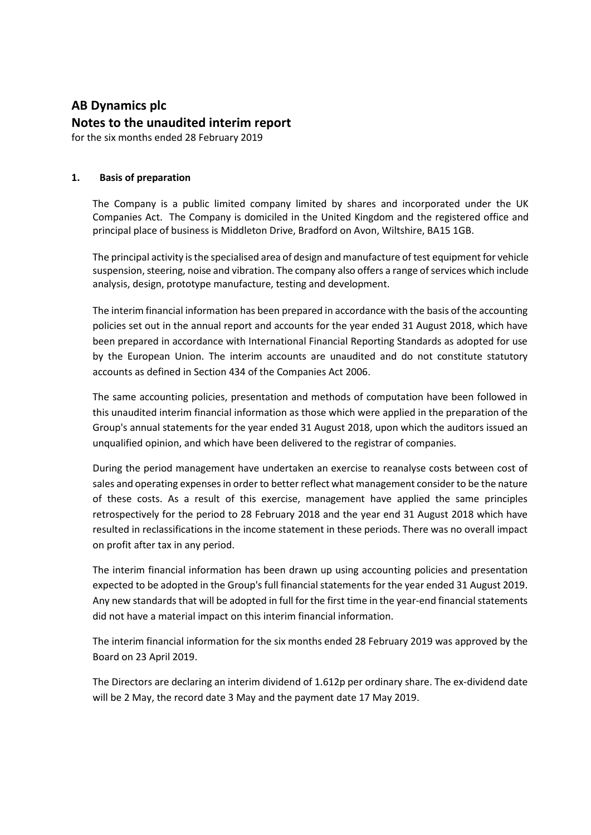# **AB Dynamics plc Notes to the unaudited interim report**

for the six months ended 28 February 2019

#### **1. Basis of preparation**

The Company is a public limited company limited by shares and incorporated under the UK Companies Act. The Company is domiciled in the United Kingdom and the registered office and principal place of business is Middleton Drive, Bradford on Avon, Wiltshire, BA15 1GB.

The principal activity is the specialised area of design and manufacture of test equipment for vehicle suspension, steering, noise and vibration. The company also offers a range of services which include analysis, design, prototype manufacture, testing and development.

The interim financial information has been prepared in accordance with the basis of the accounting policies set out in the annual report and accounts for the year ended 31 August 2018, which have been prepared in accordance with International Financial Reporting Standards as adopted for use by the European Union. The interim accounts are unaudited and do not constitute statutory accounts as defined in Section 434 of the Companies Act 2006.

The same accounting policies, presentation and methods of computation have been followed in this unaudited interim financial information as those which were applied in the preparation of the Group's annual statements for the year ended 31 August 2018, upon which the auditors issued an unqualified opinion, and which have been delivered to the registrar of companies.

During the period management have undertaken an exercise to reanalyse costs between cost of sales and operating expenses in order to better reflect what management consider to be the nature of these costs. As a result of this exercise, management have applied the same principles retrospectively for the period to 28 February 2018 and the year end 31 August 2018 which have resulted in reclassifications in the income statement in these periods. There was no overall impact on profit after tax in any period.

The interim financial information has been drawn up using accounting policies and presentation expected to be adopted in the Group's full financial statements for the year ended 31 August 2019. Any new standards that will be adopted in full for the first time in the year-end financial statements did not have a material impact on this interim financial information.

The interim financial information for the six months ended 28 February 2019 was approved by the Board on 23 April 2019.

The Directors are declaring an interim dividend of 1.612p per ordinary share. The ex-dividend date will be 2 May, the record date 3 May and the payment date 17 May 2019.